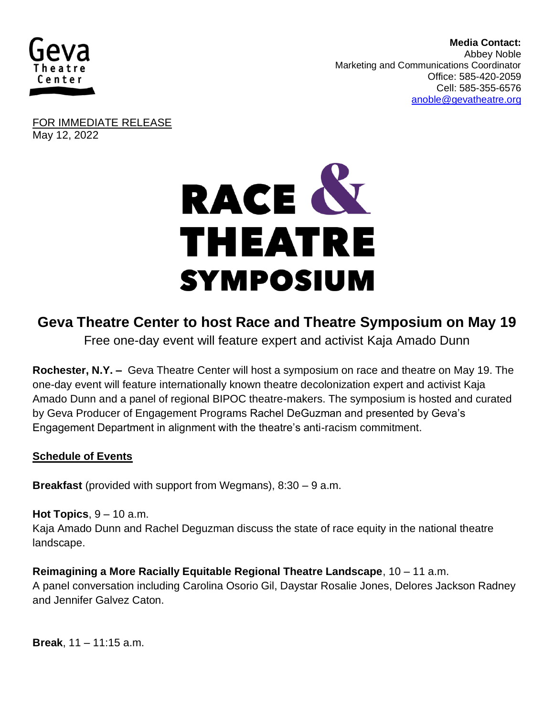

 **Media Contact:**  Abbey Noble **Marketing and Communications Coordinator** Office: 585-420-2059 Cell: 585-355-6576 [anoble@gevatheatre.org](mailto:anoble@gevatheatre.org)

FOR IMMEDIATE RELEASE May 12, 2022



# **Geva Theatre Center to host Race and Theatre Symposium on May 19**

Free one-day event will feature expert and activist Kaja Amado Dunn

**Rochester, N.Y. –** Geva Theatre Center will host a symposium on race and theatre on May 19. The one-day event will feature internationally known theatre decolonization expert and activist Kaja Amado Dunn and a panel of regional BIPOC theatre-makers. The symposium is hosted and curated by Geva Producer of Engagement Programs Rachel DeGuzman and presented by Geva's Engagement Department in alignment with the theatre's anti-racism commitment.

## **Schedule of Events**

**Breakfast** (provided with support from Wegmans), 8:30 – 9 a.m.

#### **Hot Topics**, 9 – 10 a.m.

Kaja Amado Dunn and Rachel Deguzman discuss the state of race equity in the national theatre landscape.

**Reimagining a More Racially Equitable Regional Theatre Landscape**, 10 – 11 a.m. A panel conversation including Carolina Osorio Gil, Daystar Rosalie Jones, Delores Jackson Radney and Jennifer Galvez Caton.

**Break**, 11 – 11:15 a.m.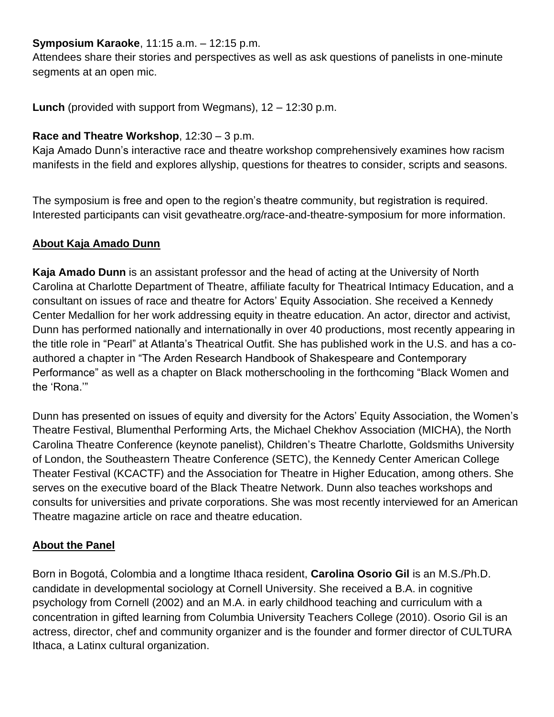## **Symposium Karaoke**, 11:15 a.m. – 12:15 p.m.

Attendees share their stories and perspectives as well as ask questions of panelists in one-minute segments at an open mic.

**Lunch** (provided with support from Wegmans), 12 – 12:30 p.m.

# **Race and Theatre Workshop**, 12:30 – 3 p.m.

Kaja Amado Dunn's interactive race and theatre workshop comprehensively examines how racism manifests in the field and explores allyship, questions for theatres to consider, scripts and seasons.

The symposium is free and open to the region's theatre community, but registration is required. Interested participants can visit gevatheatre.org/race-and-theatre-symposium for more information.

# **About Kaja Amado Dunn**

**Kaja Amado Dunn** is an assistant professor and the head of acting at the University of North Carolina at Charlotte Department of Theatre, affiliate faculty for Theatrical Intimacy Education, and a consultant on issues of race and theatre for Actors' Equity Association. She received a Kennedy Center Medallion for her work addressing equity in theatre education. An actor, director and activist, Dunn has performed nationally and internationally in over 40 productions, most recently appearing in the title role in "Pearl" at Atlanta's Theatrical Outfit. She has published work in the U.S. and has a coauthored a chapter in "The Arden Research Handbook of Shakespeare and Contemporary Performance" as well as a chapter on Black motherschooling in the forthcoming "Black Women and the 'Rona.'"

Dunn has presented on issues of equity and diversity for the Actors' Equity Association, the Women's Theatre Festival, Blumenthal Performing Arts, the Michael Chekhov Association (MICHA), the North Carolina Theatre Conference (keynote panelist), Children's Theatre Charlotte, Goldsmiths University of London, the Southeastern Theatre Conference (SETC), the Kennedy Center American College Theater Festival (KCACTF) and the Association for Theatre in Higher Education, among others. She serves on the executive board of the Black Theatre Network. Dunn also teaches workshops and consults for universities and private corporations. She was most recently interviewed for an American Theatre magazine article on race and theatre education.

# **About the Panel**

Born in Bogotá, Colombia and a longtime Ithaca resident, **Carolina Osorio Gil** is an M.S./Ph.D. candidate in developmental sociology at Cornell University. She received a B.A. in cognitive psychology from Cornell (2002) and an M.A. in early childhood teaching and curriculum with a concentration in gifted learning from Columbia University Teachers College (2010). Osorio Gil is an actress, director, chef and community organizer and is the founder and former director of CULTURA Ithaca, a Latinx cultural organization.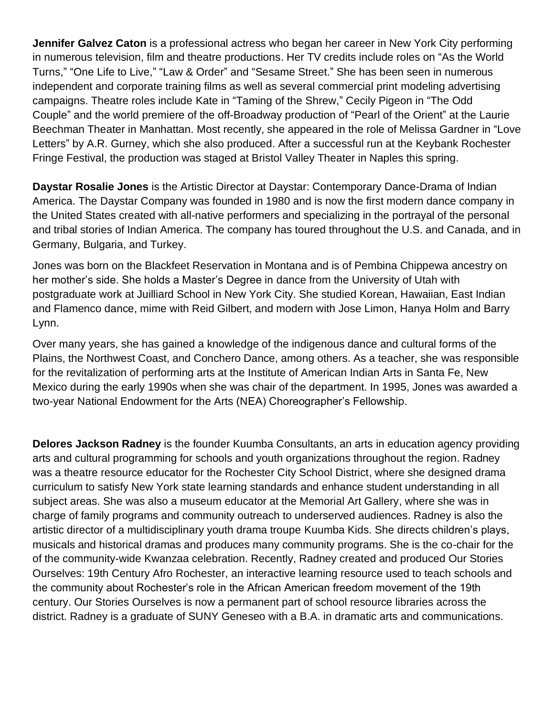**Jennifer Galvez Caton** is a professional actress who began her career in New York City performing in numerous television, film and theatre productions. Her TV credits include roles on "As the World Turns," "One Life to Live," "Law & Order" and "Sesame Street." She has been seen in numerous independent and corporate training films as well as several commercial print modeling advertising campaigns. Theatre roles include Kate in "Taming of the Shrew," Cecily Pigeon in "The Odd Couple" and the world premiere of the off-Broadway production of "Pearl of the Orient" at the Laurie Beechman Theater in Manhattan. Most recently, she appeared in the role of Melissa Gardner in "Love Letters" by A.R. Gurney, which she also produced. After a successful run at the Keybank Rochester Fringe Festival, the production was staged at Bristol Valley Theater in Naples this spring.

**Daystar Rosalie Jones** is the Artistic Director at Daystar: Contemporary Dance-Drama of Indian America. The Daystar Company was founded in 1980 and is now the first modern dance company in the United States created with all-native performers and specializing in the portrayal of the personal and tribal stories of Indian America. The company has toured throughout the U.S. and Canada, and in Germany, Bulgaria, and Turkey.

Jones was born on the Blackfeet Reservation in Montana and is of Pembina Chippewa ancestry on her mother's side. She holds a Master's Degree in dance from the University of Utah with postgraduate work at Juilliard School in New York City. She studied Korean, Hawaiian, East Indian and Flamenco dance, mime with Reid Gilbert, and modern with Jose Limon, Hanya Holm and Barry Lynn.

Over many years, she has gained a knowledge of the indigenous dance and cultural forms of the Plains, the Northwest Coast, and Conchero Dance, among others. As a teacher, she was responsible for the revitalization of performing arts at the Institute of American Indian Arts in Santa Fe, New Mexico during the early 1990s when she was chair of the department. In 1995, Jones was awarded a two-year National Endowment for the Arts (NEA) Choreographer's Fellowship.

**Delores Jackson Radney** is the founder Kuumba Consultants, an arts in education agency providing arts and cultural programming for schools and youth organizations throughout the region. Radney was a theatre resource educator for the Rochester City School District, where she designed drama curriculum to satisfy New York state learning standards and enhance student understanding in all subject areas. She was also a museum educator at the Memorial Art Gallery, where she was in charge of family programs and community outreach to underserved audiences. Radney is also the artistic director of a multidisciplinary youth drama troupe Kuumba Kids. She directs children's plays, musicals and historical dramas and produces many community programs. She is the co-chair for the of the community-wide Kwanzaa celebration. Recently, Radney created and produced Our Stories Ourselves: 19th Century Afro Rochester, an interactive learning resource used to teach schools and the community about Rochester's role in the African American freedom movement of the 19th century. Our Stories Ourselves is now a permanent part of school resource libraries across the district. Radney is a graduate of SUNY Geneseo with a B.A. in dramatic arts and communications.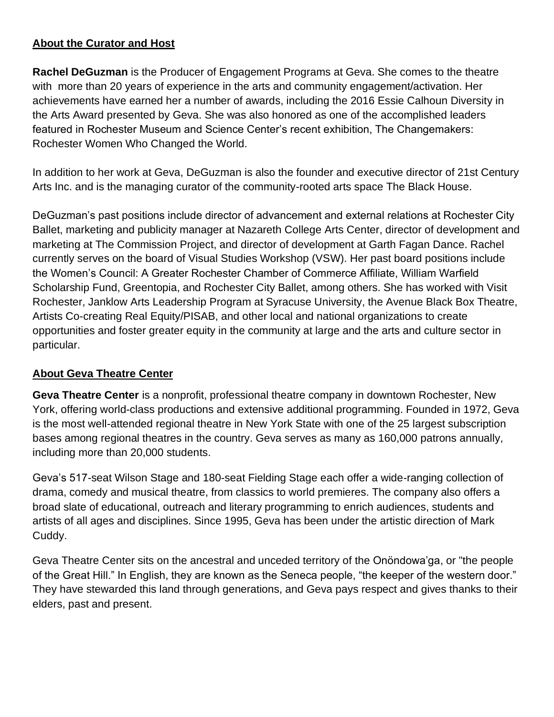## **About the Curator and Host**

**Rachel DeGuzman** is the Producer of Engagement Programs at Geva. She comes to the theatre with more than 20 years of experience in the arts and community engagement/activation. Her achievements have earned her a number of awards, including the 2016 Essie Calhoun Diversity in the Arts Award presented by Geva. She was also honored as one of the accomplished leaders featured in Rochester Museum and Science Center's recent exhibition, The Changemakers: Rochester Women Who Changed the World.

In addition to her work at Geva, DeGuzman is also the founder and executive director of 21st Century Arts Inc. and is the managing curator of the community-rooted arts space The Black House.

DeGuzman's past positions include director of advancement and external relations at Rochester City Ballet, marketing and publicity manager at Nazareth College Arts Center, director of development and marketing at The Commission Project, and director of development at Garth Fagan Dance. Rachel currently serves on the board of Visual Studies Workshop (VSW). Her past board positions include the Women's Council: A Greater Rochester Chamber of Commerce Affiliate, William Warfield Scholarship Fund, Greentopia, and Rochester City Ballet, among others. She has worked with Visit Rochester, Janklow Arts Leadership Program at Syracuse University, the Avenue Black Box Theatre, Artists Co-creating Real Equity/PISAB, and other local and national organizations to create opportunities and foster greater equity in the community at large and the arts and culture sector in particular.

## **About Geva Theatre Center**

**Geva Theatre Center** is a nonprofit, professional theatre company in downtown Rochester, New York, offering world-class productions and extensive additional programming. Founded in 1972, Geva is the most well-attended regional theatre in New York State with one of the 25 largest subscription bases among regional theatres in the country. Geva serves as many as 160,000 patrons annually, including more than 20,000 students.

Geva's 517-seat Wilson Stage and 180-seat Fielding Stage each offer a wide-ranging collection of drama, comedy and musical theatre, from classics to world premieres. The company also offers a broad slate of educational, outreach and literary programming to enrich audiences, students and artists of all ages and disciplines. Since 1995, Geva has been under the artistic direction of Mark Cuddy.

Geva Theatre Center sits on the ancestral and unceded territory of the Onöndowa'ga, or "the people of the Great Hill." In English, they are known as the Seneca people, "the keeper of the western door." They have stewarded this land through generations, and Geva pays respect and gives thanks to their elders, past and present.